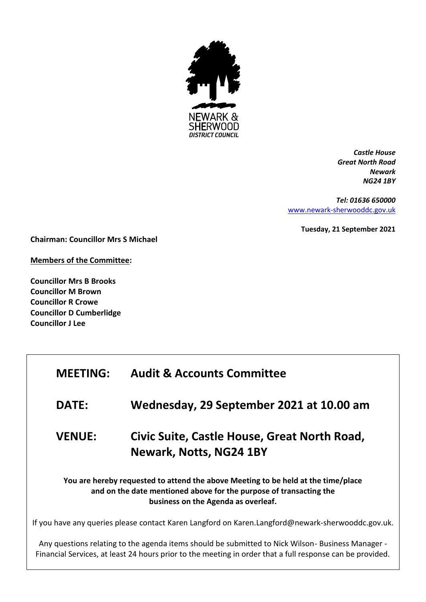

*Castle House Great North Road Newark NG24 1BY*

*Tel: 01636 650000* [www.newark-sherwooddc.gov.uk](http://www.newark-sherwooddc.gov.uk/)

**Tuesday, 21 September 2021**

**Chairman: Councillor Mrs S Michael**

**Members of the Committee:**

**Councillor Mrs B Brooks Councillor M Brown Councillor R Crowe Councillor D Cumberlidge Councillor J Lee**

| <b>MEETING:</b>                                                                                                                                                                                | <b>Audit &amp; Accounts Committee</b>                                   |  |
|------------------------------------------------------------------------------------------------------------------------------------------------------------------------------------------------|-------------------------------------------------------------------------|--|
| <b>DATE:</b>                                                                                                                                                                                   | Wednesday, 29 September 2021 at 10.00 am                                |  |
| <b>VENUE:</b>                                                                                                                                                                                  | Civic Suite, Castle House, Great North Road,<br>Newark, Notts, NG24 1BY |  |
| You are hereby requested to attend the above Meeting to be held at the time/place<br>and on the date mentioned above for the purpose of transacting the<br>business on the Agenda as overleaf. |                                                                         |  |
| If you have any queries please contact Karen Langford on Karen.Langford@newark-sherwooddc.gov.uk.                                                                                              |                                                                         |  |

Any questions relating to the agenda items should be submitted to Nick Wilson- Business Manager - Financial Services, at least 24 hours prior to the meeting in order that a full response can be provided.